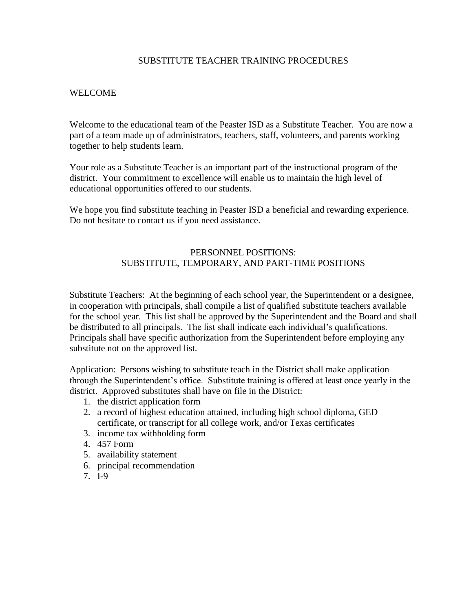### SUBSTITUTE TEACHER TRAINING PROCEDURES

## WELCOME

Welcome to the educational team of the Peaster ISD as a Substitute Teacher. You are now a part of a team made up of administrators, teachers, staff, volunteers, and parents working together to help students learn.

Your role as a Substitute Teacher is an important part of the instructional program of the district. Your commitment to excellence will enable us to maintain the high level of educational opportunities offered to our students.

We hope you find substitute teaching in Peaster ISD a beneficial and rewarding experience. Do not hesitate to contact us if you need assistance.

## PERSONNEL POSITIONS: SUBSTITUTE, TEMPORARY, AND PART-TIME POSITIONS

Substitute Teachers: At the beginning of each school year, the Superintendent or a designee, in cooperation with principals, shall compile a list of qualified substitute teachers available for the school year. This list shall be approved by the Superintendent and the Board and shall be distributed to all principals. The list shall indicate each individual's qualifications. Principals shall have specific authorization from the Superintendent before employing any substitute not on the approved list.

Application: Persons wishing to substitute teach in the District shall make application through the Superintendent's office. Substitute training is offered at least once yearly in the district. Approved substitutes shall have on file in the District:

- 1. the district application form
- 2. a record of highest education attained, including high school diploma, GED certificate, or transcript for all college work, and/or Texas certificates
- 3. income tax withholding form
- 4. 457 Form
- 5. availability statement
- 6. principal recommendation
- 7. I-9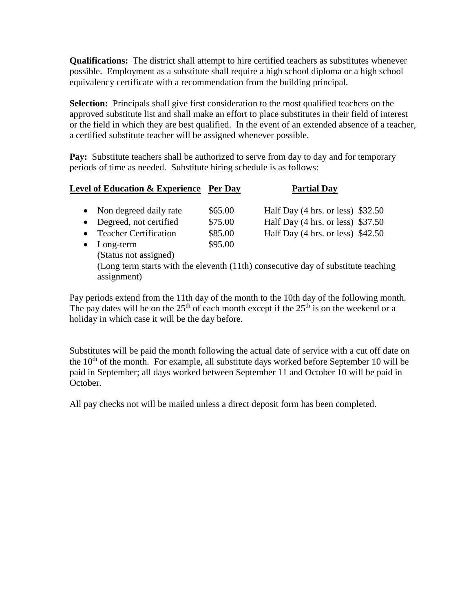**Qualifications:** The district shall attempt to hire certified teachers as substitutes whenever possible. Employment as a substitute shall require a high school diploma or a high school equivalency certificate with a recommendation from the building principal.

**Selection:** Principals shall give first consideration to the most qualified teachers on the approved substitute list and shall make an effort to place substitutes in their field of interest or the field in which they are best qualified. In the event of an extended absence of a teacher, a certified substitute teacher will be assigned whenever possible.

Pay: Substitute teachers shall be authorized to serve from day to day and for temporary periods of time as needed. Substitute hiring schedule is as follows:

| Non degreed daily rate<br>$\bullet$<br>Degreed, not certified<br>$\bullet$<br><b>Teacher Certification</b><br>$\bullet$<br>Long-term<br>$\bullet$<br>(Status not assigned)<br>(Long term starts with the eleventh (11th) consecutive day of substitute teaching<br>assignment) | \$65.00<br>\$75.00<br>\$85.00<br>\$95.00 | Half Day $(4 \text{ hrs. or less})$ \$32.50<br>Half Day $(4 \text{ hrs. or less})$ \$37.50<br>Half Day $(4 \text{ hrs. or less})$ \$42.50 |  |
|--------------------------------------------------------------------------------------------------------------------------------------------------------------------------------------------------------------------------------------------------------------------------------|------------------------------------------|-------------------------------------------------------------------------------------------------------------------------------------------|--|

Pay periods extend from the 11th day of the month to the 10th day of the following month. The pay dates will be on the  $25<sup>th</sup>$  of each month except if the  $25<sup>th</sup>$  is on the weekend or a holiday in which case it will be the day before.

Substitutes will be paid the month following the actual date of service with a cut off date on the  $10<sup>th</sup>$  of the month. For example, all substitute days worked before September 10 will be paid in September; all days worked between September 11 and October 10 will be paid in October.

All pay checks not will be mailed unless a direct deposit form has been completed.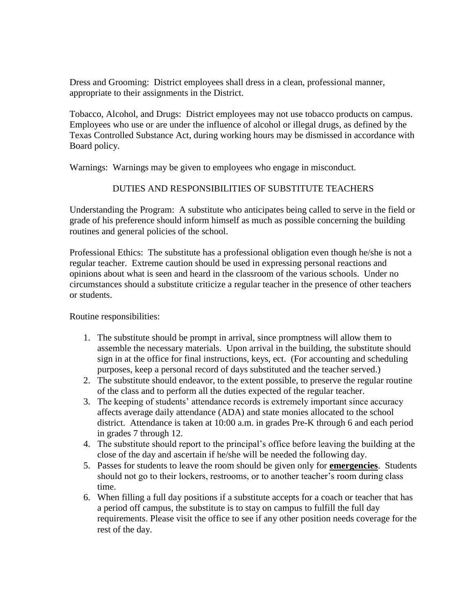Dress and Grooming: District employees shall dress in a clean, professional manner, appropriate to their assignments in the District.

Tobacco, Alcohol, and Drugs: District employees may not use tobacco products on campus. Employees who use or are under the influence of alcohol or illegal drugs, as defined by the Texas Controlled Substance Act, during working hours may be dismissed in accordance with Board policy.

Warnings: Warnings may be given to employees who engage in misconduct.

# DUTIES AND RESPONSIBILITIES OF SUBSTITUTE TEACHERS

Understanding the Program: A substitute who anticipates being called to serve in the field or grade of his preference should inform himself as much as possible concerning the building routines and general policies of the school.

Professional Ethics: The substitute has a professional obligation even though he/she is not a regular teacher. Extreme caution should be used in expressing personal reactions and opinions about what is seen and heard in the classroom of the various schools. Under no circumstances should a substitute criticize a regular teacher in the presence of other teachers or students.

Routine responsibilities:

- 1. The substitute should be prompt in arrival, since promptness will allow them to assemble the necessary materials. Upon arrival in the building, the substitute should sign in at the office for final instructions, keys, ect. (For accounting and scheduling purposes, keep a personal record of days substituted and the teacher served.)
- 2. The substitute should endeavor, to the extent possible, to preserve the regular routine of the class and to perform all the duties expected of the regular teacher.
- 3. The keeping of students' attendance records is extremely important since accuracy affects average daily attendance (ADA) and state monies allocated to the school district. Attendance is taken at 10:00 a.m. in grades Pre-K through 6 and each period in grades 7 through 12.
- 4. The substitute should report to the principal's office before leaving the building at the close of the day and ascertain if he/she will be needed the following day.
- 5. Passes for students to leave the room should be given only for **emergencies**. Students should not go to their lockers, restrooms, or to another teacher's room during class time.
- 6. When filling a full day positions if a substitute accepts for a coach or teacher that has a period off campus, the substitute is to stay on campus to fulfill the full day requirements. Please visit the office to see if any other position needs coverage for the rest of the day.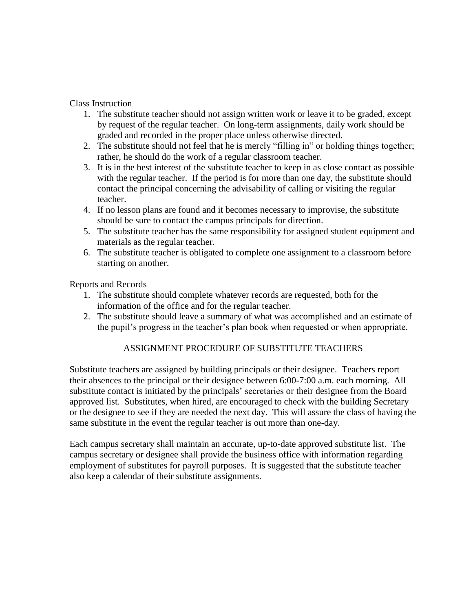## Class Instruction

- 1. The substitute teacher should not assign written work or leave it to be graded, except by request of the regular teacher. On long-term assignments, daily work should be graded and recorded in the proper place unless otherwise directed.
- 2. The substitute should not feel that he is merely "filling in" or holding things together; rather, he should do the work of a regular classroom teacher.
- 3. It is in the best interest of the substitute teacher to keep in as close contact as possible with the regular teacher. If the period is for more than one day, the substitute should contact the principal concerning the advisability of calling or visiting the regular teacher.
- 4. If no lesson plans are found and it becomes necessary to improvise, the substitute should be sure to contact the campus principals for direction.
- 5. The substitute teacher has the same responsibility for assigned student equipment and materials as the regular teacher.
- 6. The substitute teacher is obligated to complete one assignment to a classroom before starting on another.

Reports and Records

- 1. The substitute should complete whatever records are requested, both for the information of the office and for the regular teacher.
- 2. The substitute should leave a summary of what was accomplished and an estimate of the pupil's progress in the teacher's plan book when requested or when appropriate.

# ASSIGNMENT PROCEDURE OF SUBSTITUTE TEACHERS

Substitute teachers are assigned by building principals or their designee. Teachers report their absences to the principal or their designee between 6:00-7:00 a.m. each morning. All substitute contact is initiated by the principals' secretaries or their designee from the Board approved list. Substitutes, when hired, are encouraged to check with the building Secretary or the designee to see if they are needed the next day. This will assure the class of having the same substitute in the event the regular teacher is out more than one-day.

Each campus secretary shall maintain an accurate, up-to-date approved substitute list. The campus secretary or designee shall provide the business office with information regarding employment of substitutes for payroll purposes. It is suggested that the substitute teacher also keep a calendar of their substitute assignments.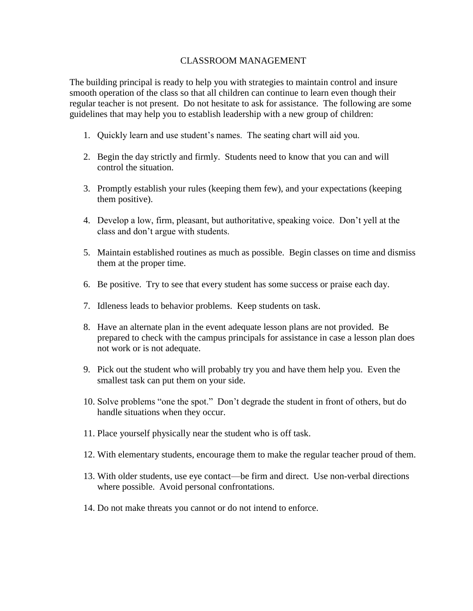#### CLASSROOM MANAGEMENT

The building principal is ready to help you with strategies to maintain control and insure smooth operation of the class so that all children can continue to learn even though their regular teacher is not present. Do not hesitate to ask for assistance. The following are some guidelines that may help you to establish leadership with a new group of children:

- 1. Quickly learn and use student's names. The seating chart will aid you.
- 2. Begin the day strictly and firmly. Students need to know that you can and will control the situation.
- 3. Promptly establish your rules (keeping them few), and your expectations (keeping them positive).
- 4. Develop a low, firm, pleasant, but authoritative, speaking voice. Don't yell at the class and don't argue with students.
- 5. Maintain established routines as much as possible. Begin classes on time and dismiss them at the proper time.
- 6. Be positive. Try to see that every student has some success or praise each day.
- 7. Idleness leads to behavior problems. Keep students on task.
- 8. Have an alternate plan in the event adequate lesson plans are not provided. Be prepared to check with the campus principals for assistance in case a lesson plan does not work or is not adequate.
- 9. Pick out the student who will probably try you and have them help you. Even the smallest task can put them on your side.
- 10. Solve problems "one the spot." Don't degrade the student in front of others, but do handle situations when they occur.
- 11. Place yourself physically near the student who is off task.
- 12. With elementary students, encourage them to make the regular teacher proud of them.
- 13. With older students, use eye contact—be firm and direct. Use non-verbal directions where possible. Avoid personal confrontations.
- 14. Do not make threats you cannot or do not intend to enforce.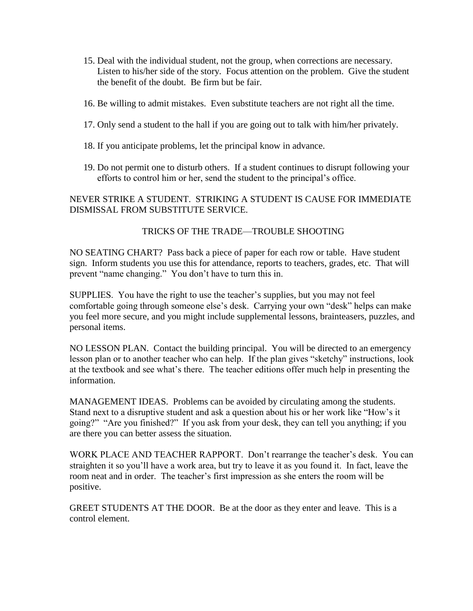- 15. Deal with the individual student, not the group, when corrections are necessary. Listen to his/her side of the story. Focus attention on the problem. Give the student the benefit of the doubt. Be firm but be fair.
- 16. Be willing to admit mistakes. Even substitute teachers are not right all the time.
- 17. Only send a student to the hall if you are going out to talk with him/her privately.
- 18. If you anticipate problems, let the principal know in advance.
- 19. Do not permit one to disturb others. If a student continues to disrupt following your efforts to control him or her, send the student to the principal's office.

## NEVER STRIKE A STUDENT. STRIKING A STUDENT IS CAUSE FOR IMMEDIATE DISMISSAL FROM SUBSTITUTE SERVICE.

# TRICKS OF THE TRADE—TROUBLE SHOOTING

NO SEATING CHART? Pass back a piece of paper for each row or table. Have student sign. Inform students you use this for attendance, reports to teachers, grades, etc. That will prevent "name changing." You don't have to turn this in.

SUPPLIES. You have the right to use the teacher's supplies, but you may not feel comfortable going through someone else's desk. Carrying your own "desk" helps can make you feel more secure, and you might include supplemental lessons, brainteasers, puzzles, and personal items.

NO LESSON PLAN. Contact the building principal. You will be directed to an emergency lesson plan or to another teacher who can help. If the plan gives "sketchy" instructions, look at the textbook and see what's there. The teacher editions offer much help in presenting the information.

MANAGEMENT IDEAS. Problems can be avoided by circulating among the students. Stand next to a disruptive student and ask a question about his or her work like "How's it going?" "Are you finished?" If you ask from your desk, they can tell you anything; if you are there you can better assess the situation.

WORK PLACE AND TEACHER RAPPORT. Don't rearrange the teacher's desk. You can straighten it so you'll have a work area, but try to leave it as you found it. In fact, leave the room neat and in order. The teacher's first impression as she enters the room will be positive.

GREET STUDENTS AT THE DOOR. Be at the door as they enter and leave. This is a control element.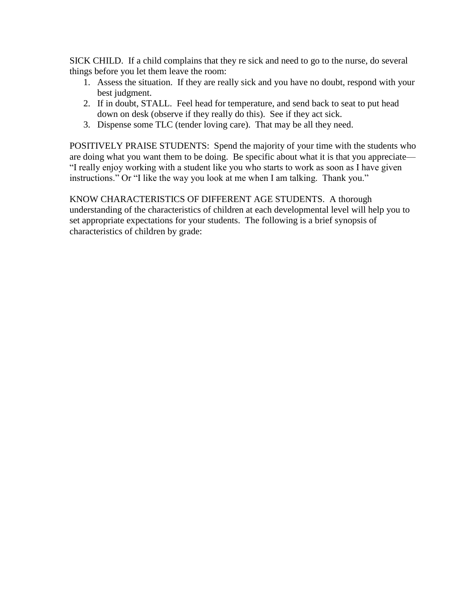SICK CHILD. If a child complains that they re sick and need to go to the nurse, do several things before you let them leave the room:

- 1. Assess the situation. If they are really sick and you have no doubt, respond with your best judgment.
- 2. If in doubt, STALL. Feel head for temperature, and send back to seat to put head down on desk (observe if they really do this). See if they act sick.
- 3. Dispense some TLC (tender loving care). That may be all they need.

POSITIVELY PRAISE STUDENTS: Spend the majority of your time with the students who are doing what you want them to be doing. Be specific about what it is that you appreciate— "I really enjoy working with a student like you who starts to work as soon as I have given instructions." Or "I like the way you look at me when I am talking. Thank you."

KNOW CHARACTERISTICS OF DIFFERENT AGE STUDENTS. A thorough understanding of the characteristics of children at each developmental level will help you to set appropriate expectations for your students. The following is a brief synopsis of characteristics of children by grade: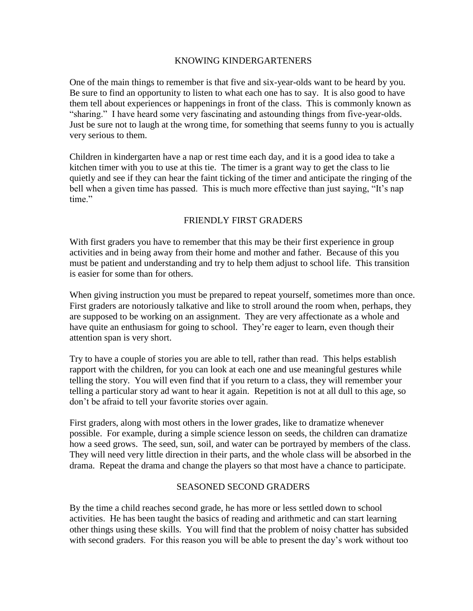#### KNOWING KINDERGARTENERS

One of the main things to remember is that five and six-year-olds want to be heard by you. Be sure to find an opportunity to listen to what each one has to say. It is also good to have them tell about experiences or happenings in front of the class. This is commonly known as "sharing." I have heard some very fascinating and astounding things from five-year-olds. Just be sure not to laugh at the wrong time, for something that seems funny to you is actually very serious to them.

Children in kindergarten have a nap or rest time each day, and it is a good idea to take a kitchen timer with you to use at this tie. The timer is a grant way to get the class to lie quietly and see if they can hear the faint ticking of the timer and anticipate the ringing of the bell when a given time has passed. This is much more effective than just saying, "It's nap time."

### FRIENDLY FIRST GRADERS

With first graders you have to remember that this may be their first experience in group activities and in being away from their home and mother and father. Because of this you must be patient and understanding and try to help them adjust to school life. This transition is easier for some than for others.

When giving instruction you must be prepared to repeat yourself, sometimes more than once. First graders are notoriously talkative and like to stroll around the room when, perhaps, they are supposed to be working on an assignment. They are very affectionate as a whole and have quite an enthusiasm for going to school. They're eager to learn, even though their attention span is very short.

Try to have a couple of stories you are able to tell, rather than read. This helps establish rapport with the children, for you can look at each one and use meaningful gestures while telling the story. You will even find that if you return to a class, they will remember your telling a particular story ad want to hear it again. Repetition is not at all dull to this age, so don't be afraid to tell your favorite stories over again.

First graders, along with most others in the lower grades, like to dramatize whenever possible. For example, during a simple science lesson on seeds, the children can dramatize how a seed grows. The seed, sun, soil, and water can be portrayed by members of the class. They will need very little direction in their parts, and the whole class will be absorbed in the drama. Repeat the drama and change the players so that most have a chance to participate.

#### SEASONED SECOND GRADERS

By the time a child reaches second grade, he has more or less settled down to school activities. He has been taught the basics of reading and arithmetic and can start learning other things using these skills. You will find that the problem of noisy chatter has subsided with second graders. For this reason you will be able to present the day's work without too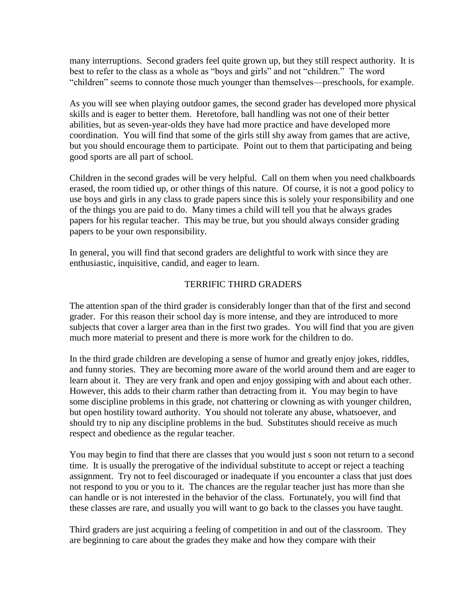many interruptions. Second graders feel quite grown up, but they still respect authority. It is best to refer to the class as a whole as "boys and girls" and not "children." The word "children" seems to connote those much younger than themselves—preschools, for example.

As you will see when playing outdoor games, the second grader has developed more physical skills and is eager to better them. Heretofore, ball handling was not one of their better abilities, but as seven-year-olds they have had more practice and have developed more coordination. You will find that some of the girls still shy away from games that are active, but you should encourage them to participate. Point out to them that participating and being good sports are all part of school.

Children in the second grades will be very helpful. Call on them when you need chalkboards erased, the room tidied up, or other things of this nature. Of course, it is not a good policy to use boys and girls in any class to grade papers since this is solely your responsibility and one of the things you are paid to do. Many times a child will tell you that he always grades papers for his regular teacher. This may be true, but you should always consider grading papers to be your own responsibility.

In general, you will find that second graders are delightful to work with since they are enthusiastic, inquisitive, candid, and eager to learn.

## TERRIFIC THIRD GRADERS

The attention span of the third grader is considerably longer than that of the first and second grader. For this reason their school day is more intense, and they are introduced to more subjects that cover a larger area than in the first two grades. You will find that you are given much more material to present and there is more work for the children to do.

In the third grade children are developing a sense of humor and greatly enjoy jokes, riddles, and funny stories. They are becoming more aware of the world around them and are eager to learn about it. They are very frank and open and enjoy gossiping with and about each other. However, this adds to their charm rather than detracting from it. You may begin to have some discipline problems in this grade, not chattering or clowning as with younger children, but open hostility toward authority. You should not tolerate any abuse, whatsoever, and should try to nip any discipline problems in the bud. Substitutes should receive as much respect and obedience as the regular teacher.

You may begin to find that there are classes that you would just s soon not return to a second time. It is usually the prerogative of the individual substitute to accept or reject a teaching assignment. Try not to feel discouraged or inadequate if you encounter a class that just does not respond to you or you to it. The chances are the regular teacher just has more than she can handle or is not interested in the behavior of the class. Fortunately, you will find that these classes are rare, and usually you will want to go back to the classes you have taught.

Third graders are just acquiring a feeling of competition in and out of the classroom. They are beginning to care about the grades they make and how they compare with their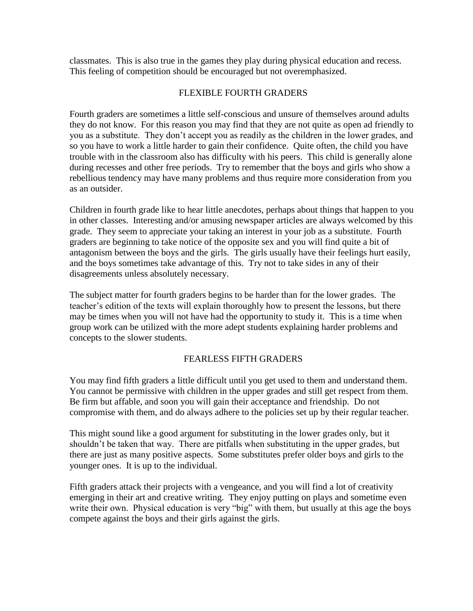classmates. This is also true in the games they play during physical education and recess. This feeling of competition should be encouraged but not overemphasized.

## FLEXIBLE FOURTH GRADERS

Fourth graders are sometimes a little self-conscious and unsure of themselves around adults they do not know. For this reason you may find that they are not quite as open ad friendly to you as a substitute. They don't accept you as readily as the children in the lower grades, and so you have to work a little harder to gain their confidence. Quite often, the child you have trouble with in the classroom also has difficulty with his peers. This child is generally alone during recesses and other free periods. Try to remember that the boys and girls who show a rebellious tendency may have many problems and thus require more consideration from you as an outsider.

Children in fourth grade like to hear little anecdotes, perhaps about things that happen to you in other classes. Interesting and/or amusing newspaper articles are always welcomed by this grade. They seem to appreciate your taking an interest in your job as a substitute. Fourth graders are beginning to take notice of the opposite sex and you will find quite a bit of antagonism between the boys and the girls. The girls usually have their feelings hurt easily, and the boys sometimes take advantage of this. Try not to take sides in any of their disagreements unless absolutely necessary.

The subject matter for fourth graders begins to be harder than for the lower grades. The teacher's edition of the texts will explain thoroughly how to present the lessons, but there may be times when you will not have had the opportunity to study it. This is a time when group work can be utilized with the more adept students explaining harder problems and concepts to the slower students.

### FEARLESS FIFTH GRADERS

You may find fifth graders a little difficult until you get used to them and understand them. You cannot be permissive with children in the upper grades and still get respect from them. Be firm but affable, and soon you will gain their acceptance and friendship. Do not compromise with them, and do always adhere to the policies set up by their regular teacher.

This might sound like a good argument for substituting in the lower grades only, but it shouldn't be taken that way. There are pitfalls when substituting in the upper grades, but there are just as many positive aspects. Some substitutes prefer older boys and girls to the younger ones. It is up to the individual.

Fifth graders attack their projects with a vengeance, and you will find a lot of creativity emerging in their art and creative writing. They enjoy putting on plays and sometime even write their own. Physical education is very "big" with them, but usually at this age the boys compete against the boys and their girls against the girls.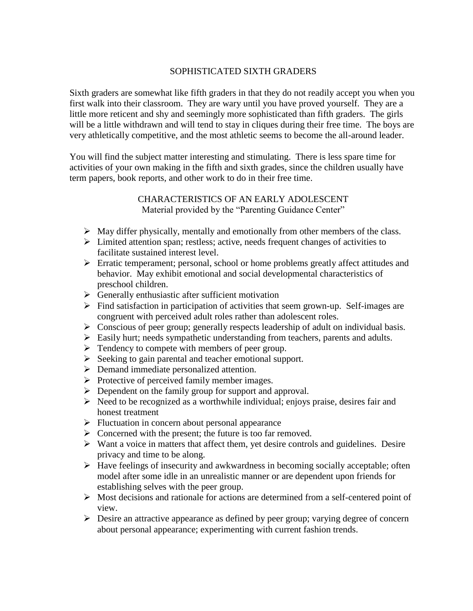## SOPHISTICATED SIXTH GRADERS

Sixth graders are somewhat like fifth graders in that they do not readily accept you when you first walk into their classroom. They are wary until you have proved yourself. They are a little more reticent and shy and seemingly more sophisticated than fifth graders. The girls will be a little withdrawn and will tend to stay in cliques during their free time. The boys are very athletically competitive, and the most athletic seems to become the all-around leader.

You will find the subject matter interesting and stimulating. There is less spare time for activities of your own making in the fifth and sixth grades, since the children usually have term papers, book reports, and other work to do in their free time.

## CHARACTERISTICS OF AN EARLY ADOLESCENT Material provided by the "Parenting Guidance Center"

- $\triangleright$  May differ physically, mentally and emotionally from other members of the class.
- $\triangleright$  Limited attention span; restless; active, needs frequent changes of activities to facilitate sustained interest level.
- Erratic temperament; personal, school or home problems greatly affect attitudes and behavior. May exhibit emotional and social developmental characteristics of preschool children.
- $\triangleright$  Generally enthusiastic after sufficient motivation
- $\triangleright$  Find satisfaction in participation of activities that seem grown-up. Self-images are congruent with perceived adult roles rather than adolescent roles.
- $\triangleright$  Conscious of peer group; generally respects leadership of adult on individual basis.
- $\triangleright$  Easily hurt; needs sympathetic understanding from teachers, parents and adults.
- $\triangleright$  Tendency to compete with members of peer group.
- $\triangleright$  Seeking to gain parental and teacher emotional support.
- Demand immediate personalized attention.
- $\triangleright$  Protective of perceived family member images.
- **Dependent on the family group for support and approval.**
- $\triangleright$  Need to be recognized as a worthwhile individual; enjoys praise, desires fair and honest treatment
- $\triangleright$  Fluctuation in concern about personal appearance
- $\triangleright$  Concerned with the present; the future is too far removed.
- $\triangleright$  Want a voice in matters that affect them, yet desire controls and guidelines. Desire privacy and time to be along.
- $\triangleright$  Have feelings of insecurity and awkwardness in becoming socially acceptable; often model after some idle in an unrealistic manner or are dependent upon friends for establishing selves with the peer group.
- $\triangleright$  Most decisions and rationale for actions are determined from a self-centered point of view.
- $\triangleright$  Desire an attractive appearance as defined by peer group; varying degree of concern about personal appearance; experimenting with current fashion trends.